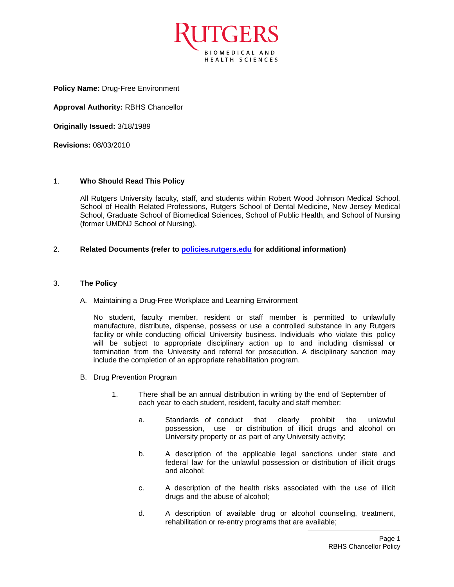

**Policy Name:** Drug-Free Environment

**Approval Authority:** RBHS Chancellor

**Originally Issued:** 3/18/1989

**Revisions:** 08/03/2010

## 1. **Who Should Read This Policy**

All Rutgers University faculty, staff, and students within Robert Wood Johnson Medical School, School of Health Related Professions, Rutgers School of Dental Medicine, New Jersey Medical School, Graduate School of Biomedical Sciences, School of Public Health, and School of Nursing (former UMDNJ School of Nursing).

## 2. **Related Documents (refer to [policies.rutgers.edu](file:///C:/Users/rsedlackpr001/Documents/Rutgers/Policies/RBHS%20Policies/policies.rutgers.edu) for additional information)**

## 3. **The Policy**

A. Maintaining a Drug-Free Workplace and Learning Environment

No student, faculty member, resident or staff member is permitted to unlawfully manufacture, distribute, dispense, possess or use a controlled substance in any Rutgers facility or while conducting official University business. Individuals who violate this policy will be subject to appropriate disciplinary action up to and including dismissal or termination from the University and referral for prosecution. A disciplinary sanction may include the completion of an appropriate rehabilitation program.

- B. Drug Prevention Program
	- 1. There shall be an annual distribution in writing by the end of September of each year to each student, resident, faculty and staff member:
		- a. Standards of conduct that clearly prohibit the unlawful possession, use or distribution of illicit drugs and alcohol on University property or as part of any University activity;
		- b. A description of the applicable legal sanctions under state and federal law for the unlawful possession or distribution of illicit drugs and alcohol;
		- c. A description of the health risks associated with the use of illicit drugs and the abuse of alcohol;
		- d. A description of available drug or alcohol counseling, treatment, rehabilitation or re-entry programs that are available;